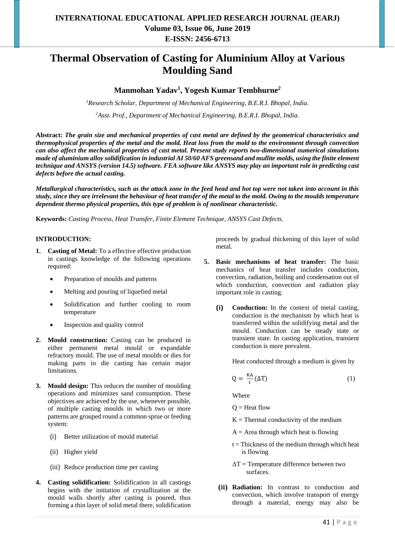# **Thermal Observation of Casting for Aluminium Alloy at Various Moulding Sand**

# **Manmohan Yadav<sup>1</sup> , Yogesh Kumar Tembhurne<sup>2</sup>**

*<sup>1</sup>Research Scholar, Department of Mechanical Engineering, B.E.R.I. Bhopal, India.*

*<sup>2</sup>Asst. Prof., Department of Mechanical Engineering, B.E.R.I. Bhopal, India.*

**Abstract:** *The grain size and mechanical properties of cast metal are defined by the geometrical characteristics and thermophysical properties of the metal and the mold. Heat loss from the mold to the environment through convection can also affect the mechanical properties of cast metal. Present study reports two-dimensional numerical simulations made of aluminium alloy solidification in industrial AI 50/60 AFS greensand and mullite molds, using the finite element technique and ANSYS (version 14.5) software. FEA software like ANSYS may play an important role in predicting cast defects before the actual casting.*

*Metallurgical characteristics, such as the attack zone in the feed head and hot top were not taken into account in this study, since they are irrelevant the behaviour of heat transfer of the metal to the mold. Owing to the moulds temperature dependent thermo physical properties, this type of problem is of nonlinear characteristic.*

**Keywords:** *Casting Process, Heat Transfer, Finite Element Technique, ANSYS Cast Defects.*

### **INTRODUCTION:**

- **1. Casting of Metal:** To a effective effective production in castings knowledge of the following operations required:
	- Preparation of moulds and patterns
	- Melting and pouring of liquefied metal
	- Solidification and further cooling to room temperature
	- Inspection and quality control
- **2. Mould construction:** Casting can be produced in either permanent metal mould or expandable refractory mould. The use of metal moulds or dies for making parts in die casting has certain major limitations.
- **3. Mould design:** This reduces the number of moulding operations and minimizes sand consumption. These objectives are achieved by the use, whenever possible, of multiple casting moulds in which two or more patterns are grouped round a common sprue or feeding system:
	- (i) Better utilization of mould material
	- (ii) Higher yield
	- (iii) Reduce production time per casting
- **4. Casting solidification:** Solidification in all castings begins with the initiation of crystallization at the mould walls shortly after casting is poured, thus forming a thin layer of solid metal there, solidification

proceeds by gradual thickening of this layer of solid metal.

- **5. Basic mechanisms of heat transfer:** The basic mechanics of heat transfer includes conduction, convection, radiation, boiling and condensation out of which conduction, convection and radiation play important role in casting.
	- **(i) Conduction:** In the context of metal casting, conduction is the mechanism by which heat is transferred within the solidifying metal and the mould. Conduction can be steady state or transient state. In casting application, transient conduction is more prevalent.

Heat conducted through a medium is given by

$$
Q = \frac{KA}{t}(\Delta T) \tag{1}
$$

Where

- $Q =$  Heat flow
- $K =$  Thermal conductivity of the medium
- $A =$  Area through which heat is flowing
- $t = Thickness of the medium through which heat$ is flowing
- $\Delta T$  = Temperature difference between two surfaces.
- **(ii) Radiation:** In contrast to conduction and convection, which involve transport of energy through a material, energy may also be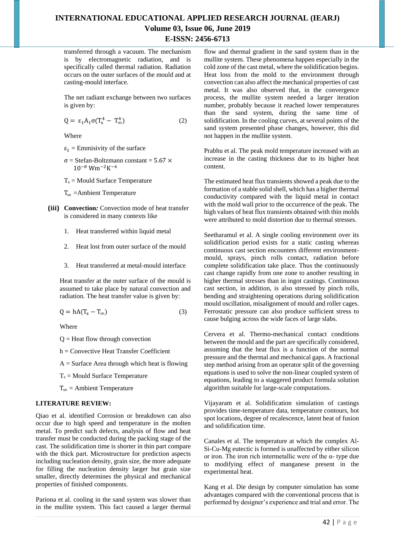transferred through a vacuum. The mechanism is by electromagnetic radiation, and is specifically called thermal radiation. Radiation occurs on the outer surfaces of the mould and at casting-mould interface.

The net radiant exchange between two surfaces is given by:

$$
Q = \varepsilon_1 A_1 \sigma (T_s^4 - T_\infty^4) \tag{2}
$$

Where

- $\varepsilon_1$  = Emmisivity of the surface
- σ = Stefan-Boltzmann constant = 5.67 × 10−8 Wm−2K −4
- $T_s$  = Mould Surface Temperature

 $T_{\infty}$  = Ambient Temperature

- **(iii) Convection***:* Convection mode of heat transfer is considered in many contexts like
	- 1. Heat transferred within liquid metal
	- 2. Heat lost from outer surface of the mould
	- 3. Heat transferred at metal-mould interface

Heat transfer at the outer surface of the mould is assumed to take place by natural convection and radiation. The heat transfer value is given by:

$$
Q = hA(T_s - T_\infty) \tag{3}
$$

Where

 $Q =$  Heat flow through convection

h = Convective Heat Transfer Coefficient

 $A =$  Surface Area through which heat is flowing

 $T_s$  = Mould Surface Temperature

 $T_{\infty}$  = Ambient Temperature

## **LITERATURE REVIEW:**

Qiao et al. identified Corrosion or breakdown can also occur due to high speed and temperature in the molten metal. To predict such defects, analysis of flow and heat transfer must be conducted during the packing stage of the cast. The solidification time is shorter in thin part compare with the thick part. Microstructure for prediction aspects including nucleation density, grain size, the more adequate for filling the nucleation density larger but grain size smaller, directly determines the physical and mechanical properties of finished components.

Pariona et al. cooling in the sand system was slower than in the mullite system. This fact caused a larger thermal flow and thermal gradient in the sand system than in the mullite system. These phenomena happen especially in the cold zone of the cast metal, where the solidification begins. Heat loss from the mold to the environment through convection can also affect the mechanical properties of cast metal. It was also observed that, in the convergence process, the mullite system needed a larger iteration number, probably because it reached lower temperatures than the sand system, during the same time of solidification. In the cooling curves, at several points of the sand system presented phase changes, however, this did not happen in the mullite system.

Prabhu et al. The peak mold temperature increased with an increase in the casting thickness due to its higher heat content.

The estimated heat flux transients showed a peak due to the formation of a stable solid shell, which has a higher thermal conductivity compared with the liquid metal in contact with the mold wall prior to the occurrence of the peak. The high values of heat flux transients obtained with thin molds were attributed to mold distortion due to thermal stresses.

Seetharamul et al. A single cooling environment over its solidification period exists for a static casting whereas continuous cast section encounters different environmentmould, sprays, pinch rolls contact, radiation before complete solidification take place. Thus the continuously cast change rapidly from one zone to another resulting in higher thermal stresses than in ingot castings. Continuous cast section, in addition, is also stressed by pinch rolls, bending and straightening operations during solidification mould oscillation, misalignment of mould and roller cages. Ferrostatic pressure can also produce sufficient stress to cause bulging across the wide faces of large slabs.

Cervera et al. Thermo-mechanical contact conditions between the mould and the part are specifically considered, assuming that the heat flux is a function of the normal pressure and the thermal and mechanical gaps. A fractional step method arising from an operator split of the governing equations is used to solve the non-linear coupled system of equations, leading to a staggered product formula solution algorithm suitable for large-scale computations.

Vijayaram et al. Solidification simulation of castings provides time-temperature data, temperature contours, hot spot locations, degree of recalescence, latent heat of fusion and solidification time.

Canales et al. The temperature at which the complex Al-Si-Cu-Mg eutectic is formed is unaffected by either silicon or iron. The iron rich intermetallic were of the α- type due to modifying effect of manganese present in the experimental heat.

Kang et al. Die design by computer simulation has some advantages compared with the conventional process that is performed by designer's experience and trial and error. The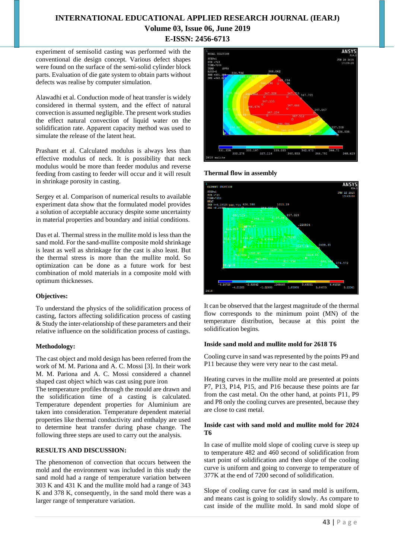experiment of semisolid casting was performed with the conventional die design concept. Various defect shapes were found on the surface of the semi-solid cylinder block parts. Evaluation of die gate system to obtain parts without defects was realise by computer simulation.

Alawadhi et al. Conduction mode of heat transfer is widely considered in thermal system, and the effect of natural convection is assumed negligible. The present work studies the effect natural convection of liquid water on the solidification rate. Apparent capacity method was used to simulate the release of the latent heat.

Prashant et al. Calculated modulus is always less than effective modulus of neck. It is possibility that neck modulus would be more than feeder modulus and reverse feeding from casting to feeder will occur and it will result in shrinkage porosity in casting.

Sergey et al. Comparison of numerical results to available experiment data show that the formulated model provides a solution of acceptable accuracy despite some uncertainty in material properties and boundary and initial conditions.

Das et al. Thermal stress in the mullite mold is less than the sand mold. For the sand-mullite composite mold shrinkage is least as well as shrinkage for the cast is also least. But the thermal stress is more than the mullite mold. So optimization can be done as a future work for best combination of mold materials in a composite mold with optimum thicknesses.

## **Objectives:**

To understand the physics of the solidification process of casting, factors affecting solidification process of casting & Study the inter-relationship of these parameters and their relative influence on the solidification process of castings.

#### **Methodology:**

The cast object and mold design has been referred from the work of M. M. Pariona and A. C. Mossi [3]. In their work M. M. Pariona and A. C. Mossi considered a channel shaped cast object which was cast using pure iron

The temperature profiles through the mould are drawn and the solidification time of a casting is calculated. Temperature dependent properties for Aluminium are taken into consideration. Temperature dependent material properties like thermal conductivity and enthalpy are used to determine heat transfer during phase change. The following three steps are used to carry out the analysis.

# **RESULTS AND DISCUSSION:**

The phenomenon of convection that occurs between the mold and the environment was included in this study the sand mold had a range of temperature variation between 303 K and 431 K and the mullite mold had a range of 343 K and 378 K, consequently, in the sand mold there was a larger range of temperature variation.



## **Thermal flow in assembly**



It can be observed that the largest magnitude of the thermal flow corresponds to the minimum point (MN) of the temperature distribution, because at this point the solidification begins.

### **Inside sand mold and mullite mold for 2618 T6**

Cooling curve in sand was represented by the points P9 and P11 because they were very near to the cast metal.

Heating curves in the mullite mold are presented at points P7, P13, P14, P15, and P16 because these points are far from the cast metal. On the other hand, at points P11, P9 and P8 only the cooling curves are presented, because they are close to cast metal.

#### **Inside cast with sand mold and mullite mold for 2024 T6**

In case of mullite mold slope of cooling curve is steep up to temperature 482 and 460 second of solidification from start point of solidification and then slope of the cooling curve is uniform and going to converge to temperature of 377K at the end of 7200 second of solidification.

Slope of cooling curve for cast in sand mold is uniform, and means cast is going to solidify slowly. As compare to cast inside of the mullite mold. In sand mold slope of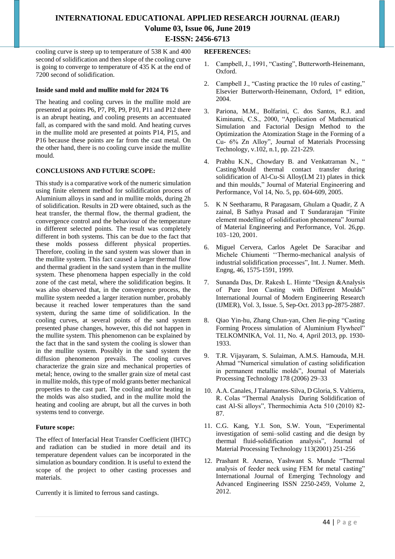cooling curve is steep up to temperature of 538 K and 400 second of solidification and then slope of the cooling curve is going to converge to temperature of 435 K at the end of 7200 second of solidification.

### **Inside sand mold and mullite mold for 2024 T6**

The heating and cooling curves in the mullite mold are presented at points P6, P7, P8, P9, P10, P11 and P12 there is an abrupt heating, and cooling presents an accentuated fall, as compared with the sand mold. And heating curves in the mullite mold are presented at points P14, P15, and P16 because these points are far from the cast metal. On the other hand, there is no cooling curve inside the mullite mould.

### **CONCLUSIONS AND FUTURE SCOPE:**

This study is a comparative work of the numeric simulation using finite element method for solidification process of Aluminium alloys in sand and in mullite molds, during 2h of solidification. Results in 2D were obtained, such as the heat transfer, the thermal flow, the thermal gradient, the convergence control and the behaviour of the temperature in different selected points. The result was completely different in both systems. This can be due to the fact that these molds possess different physical properties. Therefore, cooling in the sand system was slower than in the mullite system. This fact caused a larger thermal flow and thermal gradient in the sand system than in the mullite system. These phenomena happen especially in the cold zone of the cast metal, where the solidification begins. It was also observed that, in the convergence process, the mullite system needed a larger iteration number, probably because it reached lower temperatures than the sand system, during the same time of solidification. In the cooling curves, at several points of the sand system presented phase changes, however, this did not happen in the mullite system. This phenomenon can be explained by the fact that in the sand system the cooling is slower than in the mullite system. Possibly in the sand system the diffusion phenomenon prevails. The cooling curves characterize the grain size and mechanical properties of metal; hence, owing to the smaller grain size of metal cast in mullite molds, this type of mold grants better mechanical properties to the cast part. The cooling and/or heating in the molds was also studied, and in the mullite mold the heating and cooling are abrupt, but all the curves in both systems tend to converge.

#### **Future scope:**

The effect of Interfacial Heat Transfer Coefficient (IHTC) and radiation can be studied in more detail and its temperature dependent values can be incorporated in the simulation as boundary condition. It is useful to extend the scope of the project to other casting processes and materials.

Currently it is limited to ferrous sand castings.

#### **REFERENCES:**

- 1. Campbell, J., 1991, "Casting", Butterworth-Heinemann, Oxford.
- 2. Campbell J., "Casting practice the 10 rules of casting," Elsevier Butterworth-Heinemann, Oxford, 1<sup>st</sup> edition, 2004.
- 3. Pariona, M.M., Bolfarini, C. dos Santos, R.J. and Kiminami, C.S., 2000, "Application of Mathematical Simulation and Factorial Design Method to the Optimization the Atomization Stage in the Forming of a Cu- 6% Zn Alloy", Journal of Materials Processing Technology, v.102, n.1, pp. 221-229.
- 4. Prabhu K.N., Chowdary B. and Venkatraman N., " Casting/Mould thermal contact transfer during solidification of Al-Cu-Si Alloy(LM 21) plates in thick and thin moulds," Journal of Material Engineering and Performance, Vol 14, No. 5, pp. 604-609, 2005.
- 5. K N Seetharamu, R Paragasam, Ghulam a Quadir, Z A zainal, B Sathya Prasad and T Sundararajan "Finite element modelling of solidification phenomena" Journal of Material Engineering and Performance, Vol. 26,pp. 103–120, 2001.
- 6. Miguel Cervera, Carlos Agelet De Saracibar and Michele Chiumenti ''Thermo-mechanical analysis of industrial solidification processes", Int. J. Numer. Meth. Engng, 46, 1575-1591, 1999.
- 7. Sunanda Das, Dr. Rakesh L. Himte "Design &Analysis of Pure Iron Casting with Different Moulds" International Journal of Modern Engineering Research (IJMER), Vol. 3, Issue. 5, Sep-Oct. 2013 pp-2875-2887.
- 8. Qiao Yin-hu, Zhang Chun-yan, Chen Jie-ping "Casting Forming Process simulation of Aluminium Flywheel" TELKOMNIKA, Vol. 11, No. 4, April 2013, pp. 1930- 1933.
- 9. T.R. Vijayaram, S. Sulaiman, A.M.S. Hamouda, M.H. Ahmad "Numerical simulation of casting solidification in permanent metallic molds", Journal of Materials Processing Technology 178 (2006) 29–33
- 10. A.A. Canales, J Talamantes-Silva, D Gloria, S. Valtierra, R. Colas "Thermal Analysis During Solidification of cast Al-Si alloys", Thermochimia Acta 510 (2010) 82- 87.
- 11. C.G. Kang, Y.I. Son, S.W. Youn, "Experimental investigation of semi–solid casting and die design by thermal fluid-solidification analysis", Journal of Material Processing Technology 113(2001) 251-256
- 12. Prashant R. Anerao, Yashwant S. Munde "Thermal analysis of feeder neck using FEM for metal casting" International Journal of Emerging Technology and Advanced Engineering ISSN 2250-2459, Volume 2, 2012.